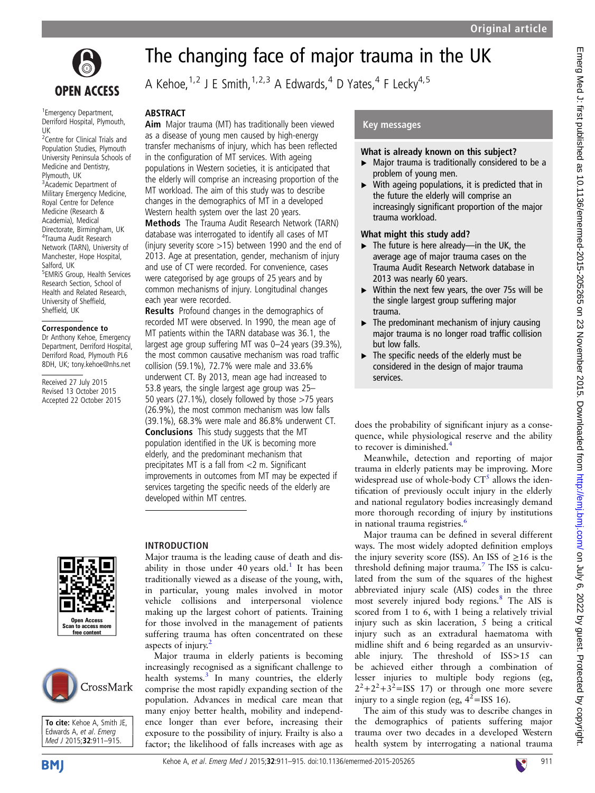

1 Emergency Department, Derriford Hospital, Plymouth, UK

<sup>2</sup> Centre for Clinical Trials and Population Studies, Plymouth University Peninsula Schools of Medicine and Dentistry. Plymouth, UK <sup>3</sup> Academic Department of Military Emergency Medicine Royal Centre for Defence Medicine (Research & Academia), Medical Directorate, Birmingham, UK 4 Trauma Audit Research Network (TARN), University of Manchester, Hope Hospital, Salford, UK <sup>5</sup>EMRIS Group, Health Services Research Section, School of Health and Related Research, University of Sheffield, Sheffield, UK

#### Correspondence to

Dr Anthony Kehoe, Emergency Department, Derriford Hospital, Derriford Road, Plymouth PL6 8DH, UK; tony.kehoe@nhs.net

Received 27 July 2015 Revised 13 October 2015 Accepted 22 October 2015

# The changing face of major trauma in the UK

Key messages

What is already known on this subject? ▸ Major trauma is traditionally considered to be a

 $\triangleright$  With ageing populations, it is predicted that in the future the elderly will comprise an increasingly significant proportion of the major

▸ The future is here already—in the UK, the average age of major trauma cases on the Trauma Audit Research Network database in

 $\triangleright$  Within the next few years, the over 75s will be the single largest group suffering major

 $\blacktriangleright$  The predominant mechanism of injury causing major trauma is no longer road traffic collision

▸ The specific needs of the elderly must be considered in the design of major trauma

problem of young men.

What might this study add?

2013 was nearly 60 years.

trauma workload.

trauma.

services.

but low falls.

A Kehoe,  $1,2$  J E Smith,  $1,2,3$  A Edwards,  $4$  D Yates,  $4$  F Lecky  $4,5$ 

## ABSTRACT

Aim Major trauma (MT) has traditionally been viewed as a disease of young men caused by high-energy transfer mechanisms of injury, which has been reflected in the configuration of MT services. With ageing populations in Western societies, it is anticipated that the elderly will comprise an increasing proportion of the MT workload. The aim of this study was to describe changes in the demographics of MT in a developed Western health system over the last 20 years.

Methods The Trauma Audit Research Network (TARN) database was interrogated to identify all cases of MT (injury severity score >15) between 1990 and the end of 2013. Age at presentation, gender, mechanism of injury and use of CT were recorded. For convenience, cases were categorised by age groups of 25 years and by common mechanisms of injury. Longitudinal changes each year were recorded.

Results Profound changes in the demographics of recorded MT were observed. In 1990, the mean age of MT patients within the TARN database was 36.1, the largest age group suffering MT was 0–24 years (39.3%), the most common causative mechanism was road traffic collision (59.1%), 72.7% were male and 33.6% underwent CT. By 2013, mean age had increased to 53.8 years, the single largest age group was 25– 50 years (27.1%), closely followed by those >75 years (26.9%), the most common mechanism was low falls (39.1%), 68.3% were male and 86.8% underwent CT. Conclusions This study suggests that the MT population identified in the UK is becoming more elderly, and the predominant mechanism that precipitates MT is a fall from <2 m. Significant improvements in outcomes from MT may be expected if services targeting the specific needs of the elderly are developed within MT centres.

Major trauma is the leading cause of death and disability in those under  $40$  years old.<sup>[1](#page-3-0)</sup> It has been traditionally viewed as a disease of the young, with, in particular, young males involved in motor vehicle collisions and interpersonal violence making up the largest cohort of patients. Training for those involved in the management of patients suffering trauma has often concentrated on these

Major trauma in elderly patients is becoming increasingly recognised as a significant challenge to health systems. $\frac{3}{5}$  $\frac{3}{5}$  $\frac{3}{5}$  In many countries, the elderly comprise the most rapidly expanding section of the population. Advances in medical care mean that many enjoy better health, mobility and independence longer than ever before, increasing their exposure to the possibility of injury. Frailty is also a factor; the likelihood of falls increases with age as

INTRODUCTION

aspects of injury.<sup>[2](#page-3-0)</sup>







Emerg Med J: first published as 10.1136/emermed-2015-205265 on 23 November 2015. Downloaded from http://emj.bmj.com/ on July 6, 2022 by guest. Protected by copyright Emerg Med J: first published as 10.1136/emermed-2015-2055 on 23 November 2015. Downloaded from http://emj.com/ on July 6, 2022 by guest. Protected by copyright.

does the probability of significant injury as a consequence, while physiological reserve and the ability to recover is diminished.[4](#page-3-0)

Meanwhile, detection and reporting of major trauma in elderly patients may be improving. More widespread use of whole-body  $CT^5$  $CT^5$  allows the identification of previously occult injury in the elderly and national regulatory bodies increasingly demand more thorough recording of injury by institutions in national trauma registries.<sup>[6](#page-3-0)</sup>

Major trauma can be defined in several different ways. The most widely adopted definition employs the injury severity score (ISS). An ISS of  $\geq 16$  is the threshold defining major trauma[.7](#page-3-0) The ISS is calculated from the sum of the squares of the highest abbreviated injury scale (AIS) codes in the three most severely injured body regions.[8](#page-3-0) The AIS is scored from 1 to 6, with 1 being a relatively trivial injury such as skin laceration, 5 being a critical injury such as an extradural haematoma with midline shift and 6 being regarded as an unsurvivable injury. The threshold of ISS>15 can be achieved either through a combination of lesser injuries to multiple body regions (eg,  $2^2+2^2+3^2=$  ISS 17) or through one more severe injury to a single region (eg,  $4^2$ =ISS 16).

The aim of this study was to describe changes in the demographics of patients suffering major trauma over two decades in a developed Western health system by interrogating a national trauma

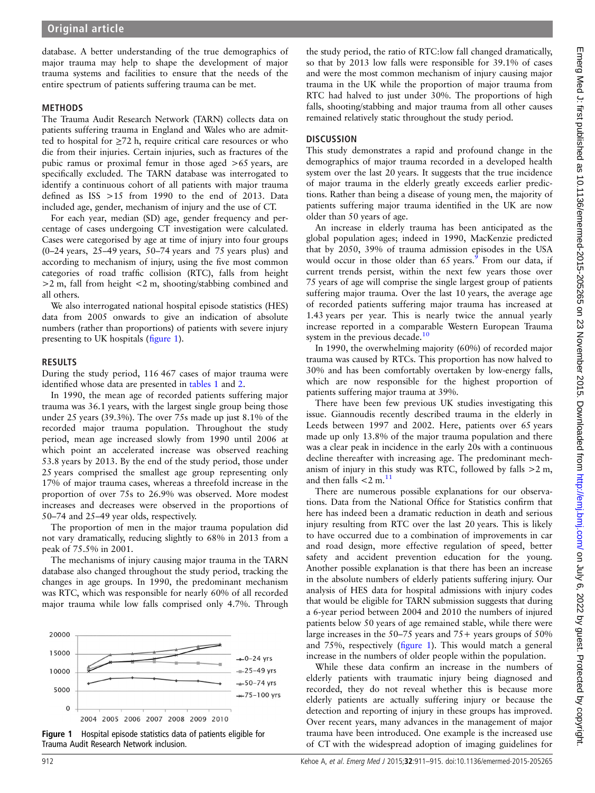database. A better understanding of the true demographics of major trauma may help to shape the development of major trauma systems and facilities to ensure that the needs of the entire spectrum of patients suffering trauma can be met.

#### METHODS

The Trauma Audit Research Network (TARN) collects data on patients suffering trauma in England and Wales who are admitted to hospital for  $\geq$ 72 h, require critical care resources or who die from their injuries. Certain injuries, such as fractures of the pubic ramus or proximal femur in those aged >65 years, are specifically excluded. The TARN database was interrogated to identify a continuous cohort of all patients with major trauma defined as ISS >15 from 1990 to the end of 2013. Data included age, gender, mechanism of injury and the use of CT.

For each year, median (SD) age, gender frequency and percentage of cases undergoing CT investigation were calculated. Cases were categorised by age at time of injury into four groups (0–24 years, 25–49 years, 50–74 years and 75 years plus) and according to mechanism of injury, using the five most common categories of road traffic collision (RTC), falls from height >2 m, fall from height <2 m, shooting/stabbing combined and all others.

We also interrogated national hospital episode statistics (HES) data from 2005 onwards to give an indication of absolute numbers (rather than proportions) of patients with severe injury presenting to UK hospitals (figure 1).

#### RESULTS

During the study period, 116 467 cases of major trauma were identified whose data are presented in [tables 1](#page-2-0) and [2](#page-2-0).

In 1990, the mean age of recorded patients suffering major trauma was 36.1 years, with the largest single group being those under 25 years (39.3%). The over 75s made up just 8.1% of the recorded major trauma population. Throughout the study period, mean age increased slowly from 1990 until 2006 at which point an accelerated increase was observed reaching 53.8 years by 2013. By the end of the study period, those under 25 years comprised the smallest age group representing only 17% of major trauma cases, whereas a threefold increase in the proportion of over 75s to 26.9% was observed. More modest increases and decreases were observed in the proportions of 50–74 and 25–49 year olds, respectively.

The proportion of men in the major trauma population did not vary dramatically, reducing slightly to 68% in 2013 from a peak of 75.5% in 2001.

The mechanisms of injury causing major trauma in the TARN database also changed throughout the study period, tracking the changes in age groups. In 1990, the predominant mechanism was RTC, which was responsible for nearly 60% of all recorded major trauma while low falls comprised only 4.7%. Through



Figure 1 Hospital episode statistics data of patients eligible for Trauma Audit Research Network inclusion.

the study period, the ratio of RTC:low fall changed dramatically, so that by 2013 low falls were responsible for 39.1% of cases and were the most common mechanism of injury causing major trauma in the UK while the proportion of major trauma from RTC had halved to just under 30%. The proportions of high falls, shooting/stabbing and major trauma from all other causes remained relatively static throughout the study period.

#### **DISCUSSION**

This study demonstrates a rapid and profound change in the demographics of major trauma recorded in a developed health system over the last 20 years. It suggests that the true incidence of major trauma in the elderly greatly exceeds earlier predictions. Rather than being a disease of young men, the majority of patients suffering major trauma identified in the UK are now older than 50 years of age.

An increase in elderly trauma has been anticipated as the global population ages; indeed in 1990, MacKenzie predicted that by 2050, 39% of trauma admission episodes in the USA would occur in those older than 65 years.<sup>9</sup> From our data, if current trends persist, within the next few years those over 75 years of age will comprise the single largest group of patients suffering major trauma. Over the last 10 years, the average age of recorded patients suffering major trauma has increased at 1.43 years per year. This is nearly twice the annual yearly increase reported in a comparable Western European Trauma system in the previous decade.<sup>[10](#page-3-0)</sup>

In 1990, the overwhelming majority (60%) of recorded major trauma was caused by RTCs. This proportion has now halved to 30% and has been comfortably overtaken by low-energy falls, which are now responsible for the highest proportion of patients suffering major trauma at 39%.

There have been few previous UK studies investigating this issue. Giannoudis recently described trauma in the elderly in Leeds between 1997 and 2002. Here, patients over 65 years made up only 13.8% of the major trauma population and there was a clear peak in incidence in the early 20s with a continuous decline thereafter with increasing age. The predominant mechanism of injury in this study was RTC, followed by falls  $>2$  m, and then falls  $<$ 2 m. $^{11}$ 

There are numerous possible explanations for our observations. Data from the National Office for Statistics confirm that here has indeed been a dramatic reduction in death and serious injury resulting from RTC over the last 20 years. This is likely to have occurred due to a combination of improvements in car and road design, more effective regulation of speed, better safety and accident prevention education for the young. Another possible explanation is that there has been an increase in the absolute numbers of elderly patients suffering injury. Our analysis of HES data for hospital admissions with injury codes that would be eligible for TARN submission suggests that during a 6-year period between 2004 and 2010 the numbers of injured patients below 50 years of age remained stable, while there were large increases in the  $50-75$  years and  $75+$  years groups of  $50\%$ and 75%, respectively (figure 1). This would match a general increase in the numbers of older people within the population.

While these data confirm an increase in the numbers of elderly patients with traumatic injury being diagnosed and recorded, they do not reveal whether this is because more elderly patients are actually suffering injury or because the detection and reporting of injury in these groups has improved. Over recent years, many advances in the management of major trauma have been introduced. One example is the increased use of CT with the widespread adoption of imaging guidelines for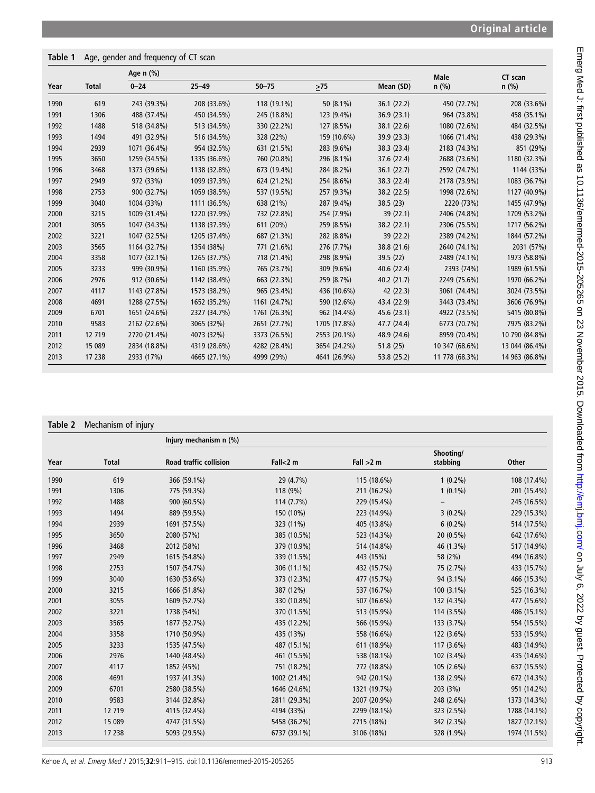<span id="page-2-0"></span>

|  |  | Table 1 Age, gender and frequency of CT scan |  |
|--|--|----------------------------------------------|--|
|--|--|----------------------------------------------|--|

|      |              | Age n (%)    |              |              |              |             | <b>Male</b>    | CT scan        |
|------|--------------|--------------|--------------|--------------|--------------|-------------|----------------|----------------|
| Year | <b>Total</b> | $0 - 24$     | $25 - 49$    | $50 - 75$    | >75          | Mean (SD)   | $n$ (%)        | $n$ (%)        |
| 1990 | 619          | 243 (39.3%)  | 208 (33.6%)  | 118 (19.1%)  | 50 (8.1%)    | 36.1(22.2)  | 450 (72.7%)    | 208 (33.6%)    |
| 1991 | 1306         | 488 (37.4%)  | 450 (34.5%)  | 245 (18.8%)  | 123 (9.4%)   | 36.9 (23.1) | 964 (73.8%)    | 458 (35.1%)    |
| 1992 | 1488         | 518 (34.8%)  | 513 (34.5%)  | 330 (22.2%)  | 127 (8.5%)   | 38.1 (22.6) | 1080 (72.6%)   | 484 (32.5%)    |
| 1993 | 1494         | 491 (32.9%)  | 516 (34.5%)  | 328 (22%)    | 159 (10.6%)  | 39.9 (23.3) | 1066 (71.4%)   | 438 (29.3%)    |
| 1994 | 2939         | 1071 (36.4%) | 954 (32.5%)  | 631 (21.5%)  | 283 (9.6%)   | 38.3 (23.4) | 2183 (74.3%)   | 851 (29%)      |
| 1995 | 3650         | 1259 (34.5%) | 1335 (36.6%) | 760 (20.8%)  | 296 (8.1%)   | 37.6 (22.4) | 2688 (73.6%)   | 1180 (32.3%)   |
| 1996 | 3468         | 1373 (39.6%) | 1138 (32.8%) | 673 (19.4%)  | 284 (8.2%)   | 36.1(22.7)  | 2592 (74.7%)   | 1144 (33%)     |
| 1997 | 2949         | 972 (33%)    | 1099 (37.3%) | 624 (21.2%)  | 254 (8.6%)   | 38.3 (22.4) | 2178 (73.9%)   | 1083 (36.7%)   |
| 1998 | 2753         | 900 (32.7%)  | 1059 (38.5%) | 537 (19.5%)  | 257 (9.3%)   | 38.2 (22.5) | 1998 (72.6%)   | 1127 (40.9%)   |
| 1999 | 3040         | 1004 (33%)   | 1111 (36.5%) | 638 (21%)    | 287 (9.4%)   | 38.5(23)    | 2220 (73%)     | 1455 (47.9%)   |
| 2000 | 3215         | 1009 (31.4%) | 1220 (37.9%) | 732 (22.8%)  | 254 (7.9%)   | 39(22.1)    | 2406 (74.8%)   | 1709 (53.2%)   |
| 2001 | 3055         | 1047 (34.3%) | 1138 (37.3%) | 611 (20%)    | 259 (8.5%)   | 38.2 (22.1) | 2306 (75.5%)   | 1717 (56.2%)   |
| 2002 | 3221         | 1047 (32.5%) | 1205 (37.4%) | 687 (21.3%)  | 282 (8.8%)   | 39 (22.2)   | 2389 (74.2%)   | 1844 (57.2%)   |
| 2003 | 3565         | 1164 (32.7%) | 1354 (38%)   | 771 (21.6%)  | 276 (7.7%)   | 38.8 (21.6) | 2640 (74.1%)   | 2031 (57%)     |
| 2004 | 3358         | 1077 (32.1%) | 1265 (37.7%) | 718 (21.4%)  | 298 (8.9%)   | 39.5(22)    | 2489 (74.1%)   | 1973 (58.8%)   |
| 2005 | 3233         | 999 (30.9%)  | 1160 (35.9%) | 765 (23.7%)  | 309 (9.6%)   | 40.6 (22.4) | 2393 (74%)     | 1989 (61.5%)   |
| 2006 | 2976         | 912 (30.6%)  | 1142 (38.4%) | 663 (22.3%)  | 259 (8.7%)   | 40.2(21.7)  | 2249 (75.6%)   | 1970 (66.2%)   |
| 2007 | 4117         | 1143 (27.8%) | 1573 (38.2%) | 965 (23.4%)  | 436 (10.6%)  | 42 (22.3)   | 3061 (74.4%)   | 3024 (73.5%)   |
| 2008 | 4691         | 1288 (27.5%) | 1652 (35.2%) | 1161 (24.7%) | 590 (12.6%)  | 43.4 (22.9) | 3443 (73.4%)   | 3606 (76.9%)   |
| 2009 | 6701         | 1651 (24.6%) | 2327 (34.7%) | 1761 (26.3%) | 962 (14.4%)  | 45.6 (23.1) | 4922 (73.5%)   | 5415 (80.8%)   |
| 2010 | 9583         | 2162 (22.6%) | 3065 (32%)   | 2651 (27.7%) | 1705 (17.8%) | 47.7 (24.4) | 6773 (70.7%)   | 7975 (83.2%)   |
| 2011 | 12 719       | 2720 (21.4%) | 4073 (32%)   | 3373 (26.5%) | 2553 (20.1%) | 48.9 (24.6) | 8959 (70.4%)   | 10 790 (84.8%) |
| 2012 | 15 089       | 2834 (18.8%) | 4319 (28.6%) | 4282 (28.4%) | 3654 (24.2%) | 51.8(25)    | 10 347 (68.6%) | 13 044 (86.4%) |
| 2013 | 17 238       | 2933 (17%)   | 4665 (27.1%) | 4999 (29%)   | 4641 (26.9%) | 53.8 (25.2) | 11 778 (68.3%) | 14 963 (86.8%) |

# Table 2 Mechanism of injury

|      | <b>Total</b> | Injury mechanism n (%) |              |              |                       |              |  |  |
|------|--------------|------------------------|--------------|--------------|-----------------------|--------------|--|--|
| Year |              | Road traffic collision | Fall $<$ 2 m | Fall $>2$ m  | Shooting/<br>stabbing | <b>Other</b> |  |  |
| 1990 | 619          | 366 (59.1%)            | 29 (4.7%)    | 115 (18.6%)  | $1(0.2\%)$            | 108 (17.4%)  |  |  |
| 1991 | 1306         | 775 (59.3%)            | 118 (9%)     | 211 (16.2%)  | $1(0.1\%)$            | 201 (15.4%)  |  |  |
| 1992 | 1488         | 900 (60.5%)            | 114 (7.7%)   | 229 (15.4%)  |                       | 245 (16.5%)  |  |  |
| 1993 | 1494         | 889 (59.5%)            | 150 (10%)    | 223 (14.9%)  | $3(0.2\%)$            | 229 (15.3%)  |  |  |
| 1994 | 2939         | 1691 (57.5%)           | 323 (11%)    | 405 (13.8%)  | $6(0.2\%)$            | 514 (17.5%)  |  |  |
| 1995 | 3650         | 2080 (57%)             | 385 (10.5%)  | 523 (14.3%)  | 20 (0.5%)             | 642 (17.6%)  |  |  |
| 1996 | 3468         | 2012 (58%)             | 379 (10.9%)  | 514 (14.8%)  | 46 (1.3%)             | 517 (14.9%)  |  |  |
| 1997 | 2949         | 1615 (54.8%)           | 339 (11.5%)  | 443 (15%)    | 58 (2%)               | 494 (16.8%)  |  |  |
| 1998 | 2753         | 1507 (54.7%)           | 306 (11.1%)  | 432 (15.7%)  | 75 (2.7%)             | 433 (15.7%)  |  |  |
| 1999 | 3040         | 1630 (53.6%)           | 373 (12.3%)  | 477 (15.7%)  | 94 (3.1%)             | 466 (15.3%)  |  |  |
| 2000 | 3215         | 1666 (51.8%)           | 387 (12%)    | 537 (16.7%)  | 100 (3.1%)            | 525 (16.3%)  |  |  |
| 2001 | 3055         | 1609 (52.7%)           | 330 (10.8%)  | 507 (16.6%)  | 132 (4.3%)            | 477 (15.6%)  |  |  |
| 2002 | 3221         | 1738 (54%)             | 370 (11.5%)  | 513 (15.9%)  | 114 (3.5%)            | 486 (15.1%)  |  |  |
| 2003 | 3565         | 1877 (52.7%)           | 435 (12.2%)  | 566 (15.9%)  | 133 (3.7%)            | 554 (15.5%)  |  |  |
| 2004 | 3358         | 1710 (50.9%)           | 435 (13%)    | 558 (16.6%)  | 122 (3.6%)            | 533 (15.9%)  |  |  |
| 2005 | 3233         | 1535 (47.5%)           | 487 (15.1%)  | 611 (18.9%)  | 117 (3.6%)            | 483 (14.9%)  |  |  |
| 2006 | 2976         | 1440 (48.4%)           | 461 (15.5%)  | 538 (18.1%)  | 102 (3.4%)            | 435 (14.6%)  |  |  |
| 2007 | 4117         | 1852 (45%)             | 751 (18.2%)  | 772 (18.8%)  | 105 (2.6%)            | 637 (15.5%)  |  |  |
| 2008 | 4691         | 1937 (41.3%)           | 1002 (21.4%) | 942 (20.1%)  | 138 (2.9%)            | 672 (14.3%)  |  |  |
| 2009 | 6701         | 2580 (38.5%)           | 1646 (24.6%) | 1321 (19.7%) | 203 (3%)              | 951 (14.2%)  |  |  |
| 2010 | 9583         | 3144 (32.8%)           | 2811 (29.3%) | 2007 (20.9%) | 248 (2.6%)            | 1373 (14.3%) |  |  |
| 2011 | 12 719       | 4115 (32.4%)           | 4194 (33%)   | 2299 (18.1%) | 323 (2.5%)            | 1788 (14.1%) |  |  |
| 2012 | 15 089       | 4747 (31.5%)           | 5458 (36.2%) | 2715 (18%)   | 342 (2.3%)            | 1827 (12.1%) |  |  |
| 2013 | 17 238       | 5093 (29.5%)           | 6737 (39.1%) | 3106 (18%)   | 328 (1.9%)            | 1974 (11.5%) |  |  |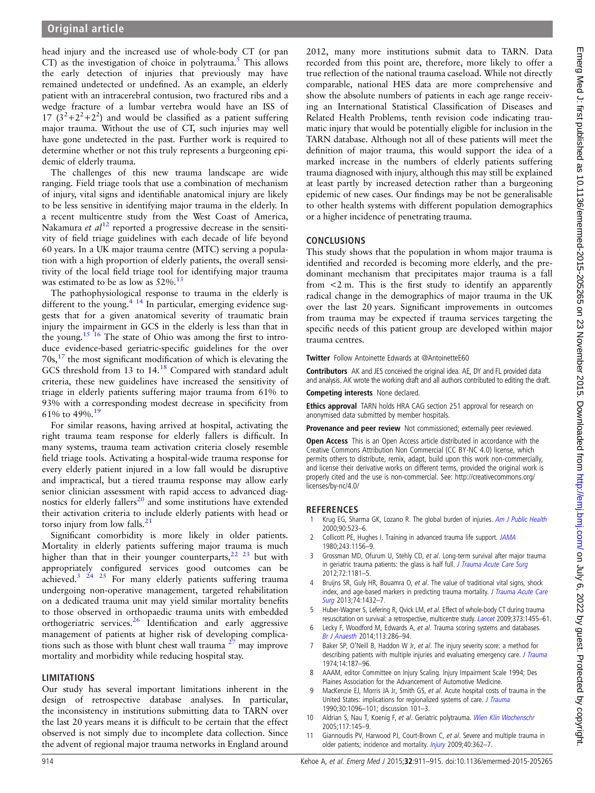<span id="page-3-0"></span>head injury and the increased use of whole-body CT (or pan CT) as the investigation of choice in polytrauma.<sup>5</sup> This allows the early detection of injuries that previously may have remained undetected or undefined. As an example, an elderly patient with an intracerebral contusion, two fractured ribs and a wedge fracture of a lumbar vertebra would have an ISS of 17  $(3^2+2^2+2^2)$  and would be classified as a patient suffering major trauma. Without the use of CT, such injuries may well have gone undetected in the past. Further work is required to determine whether or not this truly represents a burgeoning epidemic of elderly trauma.

The challenges of this new trauma landscape are wide ranging. Field triage tools that use a combination of mechanism of injury, vital signs and identifiable anatomical injury are likely to be less sensitive in identifying major trauma in the elderly. In a recent multicentre study from the West Coast of America, Nakamura et  $al^{12}$  $al^{12}$  $al^{12}$  reported a progressive decrease in the sensitivity of field triage guidelines with each decade of life beyond 60 years. In a UK major trauma centre (MTC) serving a population with a high proportion of elderly patients, the overall sensitivity of the local field triage tool for identifying major trauma was estimated to be as low as  $52\%$ .<sup>13</sup>

The pathophysiological response to trauma in the elderly is different to the young.<sup>4 [14](#page-4-0)</sup> In particular, emerging evidence suggests that for a given anatomical severity of traumatic brain injury the impairment in GCS in the elderly is less than that in the young.<sup>[15 16](#page-4-0)</sup> The state of Ohio was among the first to introduce evidence-based geriatric-specific guidelines for the over  $70s$ ,  $^{17}$  $^{17}$  $^{17}$  the most significant modification of which is elevating the GCS threshold from 13 to 14.[18](#page-4-0) Compared with standard adult criteria, these new guidelines have increased the sensitivity of triage in elderly patients suffering major trauma from 61% to 93% with a corresponding modest decrease in specificity from 61% to 49%.[19](#page-4-0)

For similar reasons, having arrived at hospital, activating the right trauma team response for elderly fallers is difficult. In many systems, trauma team activation criteria closely resemble field triage tools. Activating a hospital-wide trauma response for every elderly patient injured in a low fall would be disruptive and impractical, but a tiered trauma response may allow early senior clinician assessment with rapid access to advanced diag-nostics for elderly fallers<sup>[20](#page-4-0)</sup> and some institutions have extended their activation criteria to include elderly patients with head or torso injury from low falls. $21$ 

Significant comorbidity is more likely in older patients. Mortality in elderly patients suffering major trauma is much higher than that in their younger counterparts,  $22 \times 23$  but with appropriately configured services good outcomes can be achieved. $3^{24}$   $25$  For many elderly patients suffering trauma undergoing non-operative management, targeted rehabilitation on a dedicated trauma unit may yield similar mortality benefits to those observed in orthopaedic trauma units with embedded orthogeriatric services.[26](#page-4-0) Identification and early aggressive management of patients at higher risk of developing complications such as those with blunt chest wall trauma  $27$  may improve mortality and morbidity while reducing hospital stay.

#### LIMITATIONS

Our study has several important limitations inherent in the design of retrospective database analyses. In particular, the inconsistency in institutions submitting data to TARN over the last 20 years means it is difficult to be certain that the effect observed is not simply due to incomplete data collection. Since the advent of regional major trauma networks in England around

2012, many more institutions submit data to TARN. Data recorded from this point are, therefore, more likely to offer a true reflection of the national trauma caseload. While not directly comparable, national HES data are more comprehensive and show the absolute numbers of patients in each age range receiving an International Statistical Classification of Diseases and Related Health Problems, tenth revision code indicating traumatic injury that would be potentially eligible for inclusion in the TARN database. Although not all of these patients will meet the definition of major trauma, this would support the idea of a marked increase in the numbers of elderly patients suffering trauma diagnosed with injury, although this may still be explained at least partly by increased detection rather than a burgeoning epidemic of new cases. Our findings may be not be generalisable to other health systems with different population demographics or a higher incidence of penetrating trauma.

### **CONCLUSIONS**

This study shows that the population in whom major trauma is identified and recorded is becoming more elderly, and the predominant mechanism that precipitates major trauma is a fall from <2 m. This is the first study to identify an apparently radical change in the demographics of major trauma in the UK over the last 20 years. Significant improvements in outcomes from trauma may be expected if trauma services targeting the specific needs of this patient group are developed within major trauma centres.

Twitter Follow Antoinette Edwards at [@AntoinetteE60](http://twitter.com/AntoinetteE60)

Contributors AK and JES conceived the original idea. AE, DY and FL provided data and analysis. AK wrote the working draft and all authors contributed to editing the draft.

Competing interests None declared.

Ethics approval TARN holds HRA CAG section 251 approval for research on anonymised data submitted by member hospitals.

Provenance and peer review Not commissioned; externally peer reviewed.

Open Access This is an Open Access article distributed in accordance with the Creative Commons Attribution Non Commercial (CC BY-NC 4.0) license, which permits others to distribute, remix, adapt, build upon this work non-commercially, and license their derivative works on different terms, provided the original work is properly cited and the use is non-commercial. See: [http://creativecommons.org/](http://creativecommons.org/licenses/by-nc/4.0/) [licenses/by-nc/4.0/](http://creativecommons.org/licenses/by-nc/4.0/)

#### **REFERENCES**

- Krug EG, Sharma GK, Lozano R. The global burden of injuries. [Am J Public Health](http://dx.doi.org/10.2105/AJPH.90.4.523) 2000;90:523–6.
- 2 Collicott PE, Hughes I. Training in advanced trauma life support. [JAMA](http://dx.doi.org/10.1001/jama.1980.03300370030022) 1980;243:1156–9.
- 3 Grossman MD, Ofurum U, Stehly CD, et al. Long-term survival after major trauma in geriatric trauma patients: the glass is half full. [J Trauma Acute Care Surg](http://dx.doi.org/10.1097/TA.0b013e31824d0e6d) 2012;72:1181–5.
- 4 Bruijns SR, Guly HR, Bouamra O, et al. The value of traditional vital signs, shock index, and age-based markers in predicting trauma mortality. [J Trauma Acute Care](http://dx.doi.org/10.1097/TA.0b013e31829246c7) [Surg](http://dx.doi.org/10.1097/TA.0b013e31829246c7) 2013;74:1432–7.
- Huber-Wagner S, Lefering R, Qvick LM, et al. Effect of whole-body CT during trauma resuscitation on survival: a retrospective, multicentre study. [Lancet](http://dx.doi.org/10.1016/S0140-6736(09)60232-4) 2009;373:1455-61.
- 6 Lecky F, Woodford M, Edwards A, et al. Trauma scoring systems and databases. [Br J Anaesth](http://dx.doi.org/10.1093/bja/aeu242) 2014;113:286–94.
- 7 Baker SP, O'Neill B, Haddon W Jr, et al. The injury severity score: a method for describing patients with multiple injuries and evaluating emergency care. [J Trauma](http://dx.doi.org/10.1097/00005373-197403000-00001) 1974;14:187–96.
- 8 AAAM, editor Committee on Injury Scaling. Injury Impairment Scale 1994; Des Plaines Association for the Advancement of Automotive Medicine.
- 9 MacKenzie EJ, Morris JA Jr, Smith GS, et al. Acute hospital costs of trauma in the United States: implications for regionalized systems of care. [J Trauma](http://dx.doi.org/10.1097/00005373-199009000-00005) 1990;30:1096–101; discussion 101–3.
- 10 Aldrian S, Nau T, Koenig F, et al. Geriatric polytrauma. [Wien Klin Wochenschr](http://dx.doi.org/10.1007/s00508-004-0290-y) 2005;117:145–9.
- 11 Giannoudis PV, Harwood PJ, Court-Brown C, et al. Severe and multiple trauma in older patients; incidence and mortality. [Injury](http://dx.doi.org/10.1016/j.injury.2008.10.016) 2009;40:362-7.